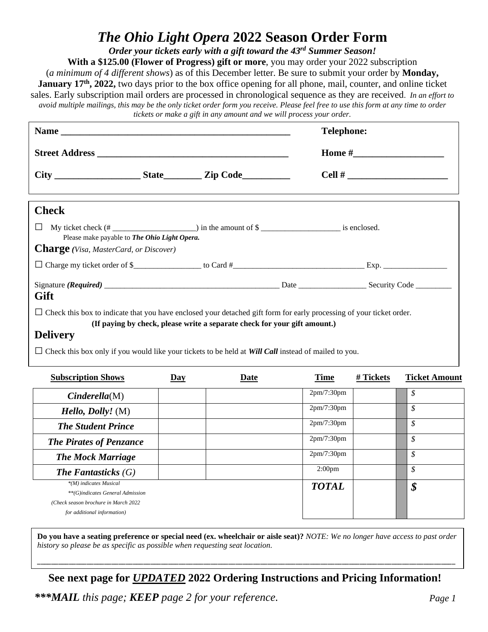## *The Ohio Light Opera* **2022 Season Order Form**

*Order your tickets early with a gift toward the 43 rd Summer Season!*

**With a \$125.00 (Flower of Progress) gift or more**, you may order your 2022 subscription

(*a minimum of 4 different shows*) as of this December letter. Be sure to submit your order by **Monday, January 17th, 2022,** two days prior to the box office opening for all phone, mail, counter, and online ticket sales. Early subscription mail orders are processed in chronological sequence as they are received. *In an effort to avoid multiple mailings, this may be the only ticket order form you receive. Please feel free to use this form at any time to order* 

*tickets or make a gift in any amount and we will process your order.*

| Street Address                                                                                                              |       |                                                                           |             | <b>Telephone:</b> |                            |  |  |
|-----------------------------------------------------------------------------------------------------------------------------|-------|---------------------------------------------------------------------------|-------------|-------------------|----------------------------|--|--|
|                                                                                                                             |       |                                                                           |             |                   |                            |  |  |
|                                                                                                                             |       |                                                                           |             |                   |                            |  |  |
| <b>Check</b>                                                                                                                |       |                                                                           |             |                   |                            |  |  |
| П                                                                                                                           |       |                                                                           |             |                   |                            |  |  |
| Please make payable to The Ohio Light Opera.<br><b>Charge</b> (Visa, MasterCard, or Discover)                               |       |                                                                           |             |                   |                            |  |  |
|                                                                                                                             |       |                                                                           |             |                   |                            |  |  |
| Gift                                                                                                                        |       |                                                                           |             |                   |                            |  |  |
| $\Box$ Check this box to indicate that you have enclosed your detached gift form for early processing of your ticket order. |       | (If paying by check, please write a separate check for your gift amount.) |             |                   |                            |  |  |
| <b>Delivery</b>                                                                                                             |       |                                                                           |             |                   |                            |  |  |
| $\Box$ Check this box only if you would like your tickets to be held at Will Call instead of mailed to you.                 |       |                                                                           |             |                   |                            |  |  |
| <b>Subscription Shows</b>                                                                                                   | $Day$ | Date                                                                      | <b>Time</b> | # Tickets         | <b>Ticket Amount</b>       |  |  |
| Cinderella(M)                                                                                                               |       |                                                                           | 2pm/7:30pm  |                   | $\overline{\mathcal{S}}$   |  |  |
| <i>Hello, Dolly!</i> ( $M$ )                                                                                                |       |                                                                           | 2pm/7:30pm  |                   | $\mathcal{S}$              |  |  |
| <b>The Student Prince</b>                                                                                                   |       |                                                                           | 2pm/7:30pm  |                   | $\boldsymbol{\mathcal{S}}$ |  |  |

**Do you have a seating preference or special need (ex. wheelchair or aisle seat)?** *NOTE: We no longer have access to past order history so please be as specific as possible when requesting seat location.* 

\_\_\_\_\_\_\_\_\_\_\_\_\_\_\_\_\_\_\_\_\_\_\_\_\_\_\_\_\_\_\_\_\_\_\_\_\_\_\_\_\_\_\_\_\_\_\_\_\_\_\_\_\_\_\_\_\_\_\_\_\_\_\_\_\_\_\_\_\_\_\_\_\_\_\_\_\_\_\_\_\_\_\_\_\_\_\_\_\_\_\_\_\_\_\_\_\_\_\_\_\_\_\_\_\_\_\_\_\_\_\_\_\_\_\_\_\_\_

*The Pirates of Penzance* 2pm/7:30pm  $\int$  2pm/7:30pm  $\int$  8

*The Mock Marriage*  $\begin{array}{|c|c|c|c|c|} \hline \end{array}$  2pm/7:30pm  $\begin{array}{|c|c|c|c|c|c|} \hline \end{array}$ *The Fantasticks (G)* 2:00pm *\$*

**See next page for** *UPDATED* **2022 Ordering Instructions and Pricing Information!**

*\*\*\*MAIL this page; KEEP page 2 for your reference.* 

*\*(M) indicates Musical \*\*(G)indicates General Admission (Check season brochure in March 2022 for additional information)*

*TOTAL \$*